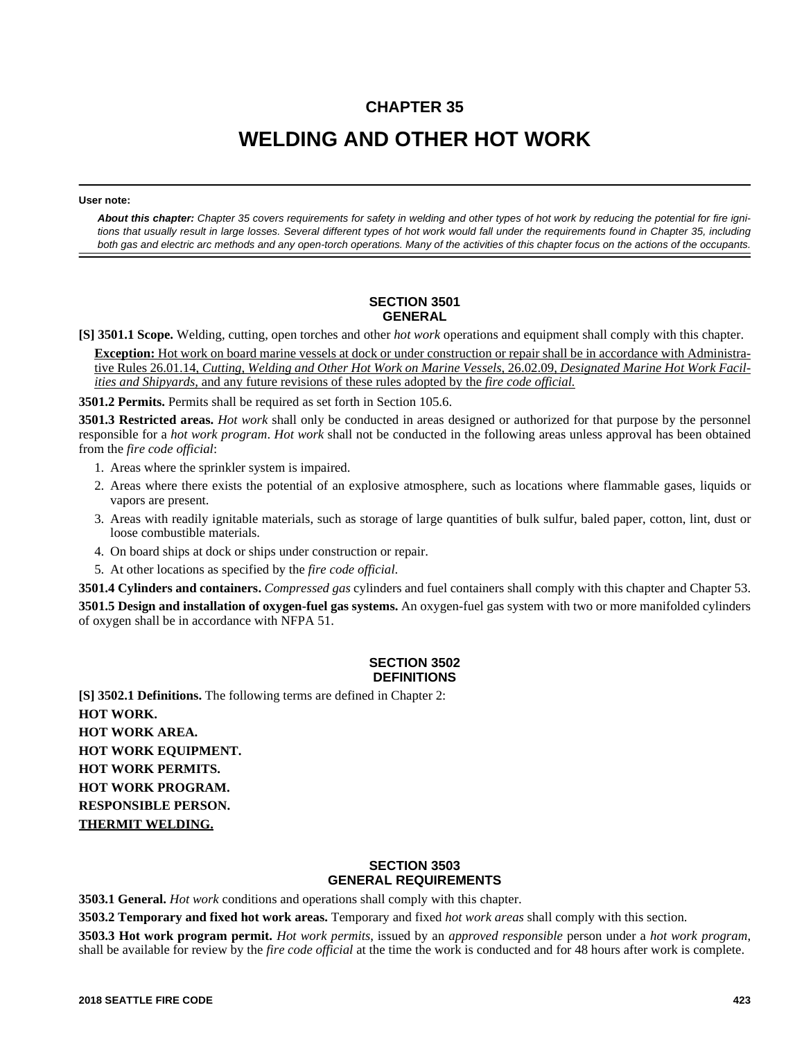# **CHAPTER 35**

# **WELDING AND OTHER HOT WORK**

#### **User note:**

*About this chapter: Chapter 35 covers requirements for safety in welding and other types of hot work by reducing the potential for fire ignitions that usually result in large losses. Several different types of hot work would fall under the requirements found in Chapter 35, including both gas and electric arc methods and any open-torch operations. Many of the activities of this chapter focus on the actions of the occupants.*

#### **SECTION 3501 GENERAL**

**[S] 3501.1 Scope.** Welding, cutting, open torches and other *hot work* operations and equipment shall comply with this chapter.

**Exception:** Hot work on board marine vessels at dock or under construction or repair shall be in accordance with Administrative Rules 26.01.14, *Cutting, Welding and Other Hot Work on Marine Vessels,* 26.02.09, *Designated Marine Hot Work Facilities and Shipyards,* and any future revisions of these rules adopted by the *fire code official.*

**3501.2 Permits.** Permits shall be required as set forth in Section 105.6.

**3501.3 Restricted areas.** *Hot work* shall only be conducted in areas designed or authorized for that purpose by the personnel responsible for a *hot work program*. *Hot work* shall not be conducted in the following areas unless approval has been obtained from the *fire code official*:

- 1. Areas where the sprinkler system is impaired.
- 2. Areas where there exists the potential of an explosive atmosphere, such as locations where flammable gases, liquids or vapors are present.
- 3. Areas with readily ignitable materials, such as storage of large quantities of bulk sulfur, baled paper, cotton, lint, dust or loose combustible materials.
- 4. On board ships at dock or ships under construction or repair.
- 5. At other locations as specified by the *fire code official*.

**3501.4 Cylinders and containers.** *Compressed gas* cylinders and fuel containers shall comply with this chapter and Chapter 53.

**3501.5 Design and installation of oxygen-fuel gas systems.** An oxygen-fuel gas system with two or more manifolded cylinders of oxygen shall be in accordance with NFPA 51.

# **SECTION 3502 DEFINITIONS**

**[S] 3502.1 Definitions.** The following terms are defined in Chapter 2: **HOT WORK. HOT WORK AREA. HOT WORK EQUIPMENT. HOT WORK PERMITS. HOT WORK PROGRAM. RESPONSIBLE PERSON. THERMIT WELDING.**

# **SECTION 3503 GENERAL REQUIREMENTS**

**3503.1 General.** *Hot work* conditions and operations shall comply with this chapter.

**3503.2 Temporary and fixed hot work areas.** Temporary and fixed *hot work areas* shall comply with this section.

**3503.3 Hot work program permit.** *Hot work permits*, issued by an *approved responsible* person under a *hot work program*, shall be available for review by the *fire code official* at the time the work is conducted and for 48 hours after work is complete.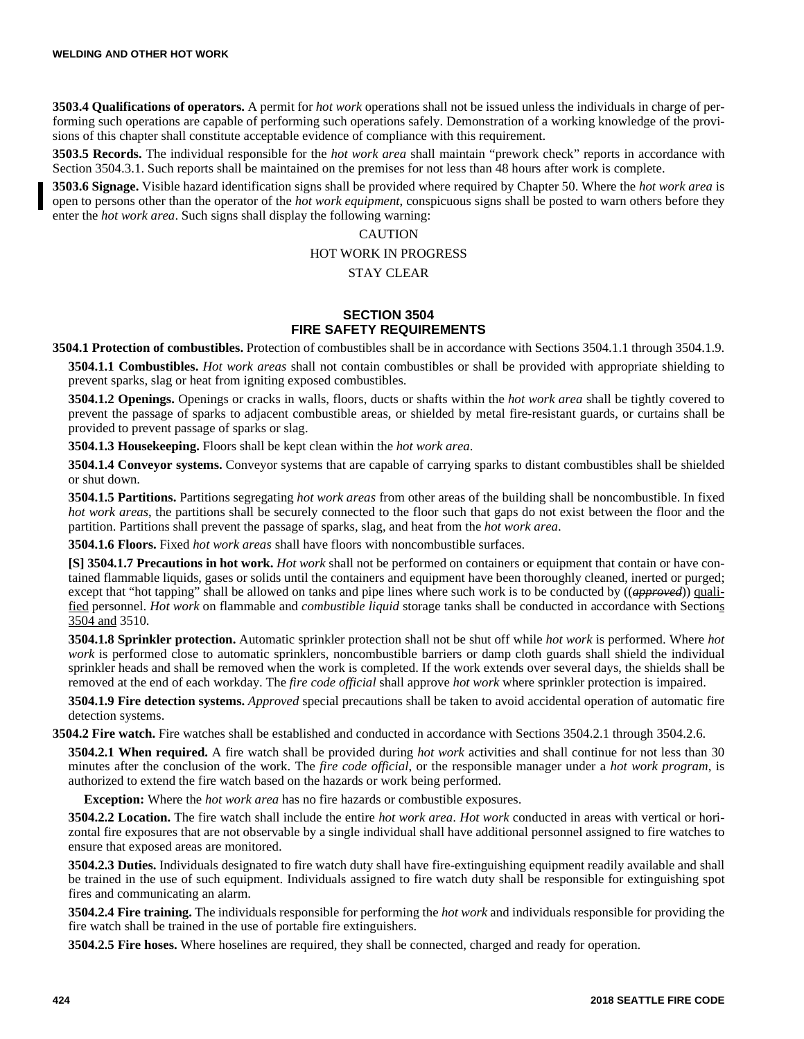**3503.4 Qualifications of operators.** A permit for *hot work* operations shall not be issued unless the individuals in charge of performing such operations are capable of performing such operations safely. Demonstration of a working knowledge of the provisions of this chapter shall constitute acceptable evidence of compliance with this requirement.

**3503.5 Records.** The individual responsible for the *hot work area* shall maintain "prework check" reports in accordance with Section 3504.3.1. Such reports shall be maintained on the premises for not less than 48 hours after work is complete.

**3503.6 Signage.** Visible hazard identification signs shall be provided where required by Chapter 50. Where the *hot work area* is open to persons other than the operator of the *hot work equipment*, conspicuous signs shall be posted to warn others before they enter the *hot work area*. Such signs shall display the following warning:

### **CAUTION**

### HOT WORK IN PROGRESS

#### STAY CLEAR

### **SECTION 3504 FIRE SAFETY REQUIREMENTS**

**3504.1 Protection of combustibles.** Protection of combustibles shall be in accordance with Sections 3504.1.1 through 3504.1.9.

**3504.1.1 Combustibles.** *Hot work areas* shall not contain combustibles or shall be provided with appropriate shielding to prevent sparks, slag or heat from igniting exposed combustibles.

**3504.1.2 Openings.** Openings or cracks in walls, floors, ducts or shafts within the *hot work area* shall be tightly covered to prevent the passage of sparks to adjacent combustible areas, or shielded by metal fire-resistant guards, or curtains shall be provided to prevent passage of sparks or slag.

**3504.1.3 Housekeeping.** Floors shall be kept clean within the *hot work area*.

**3504.1.4 Conveyor systems.** Conveyor systems that are capable of carrying sparks to distant combustibles shall be shielded or shut down.

**3504.1.5 Partitions.** Partitions segregating *hot work areas* from other areas of the building shall be noncombustible. In fixed *hot work areas*, the partitions shall be securely connected to the floor such that gaps do not exist between the floor and the partition. Partitions shall prevent the passage of sparks, slag, and heat from the *hot work area*.

**3504.1.6 Floors.** Fixed *hot work areas* shall have floors with noncombustible surfaces.

**[S] 3504.1.7 Precautions in hot work.** *Hot work* shall not be performed on containers or equipment that contain or have contained flammable liquids, gases or solids until the containers and equipment have been thoroughly cleaned, inerted or purged; except that "hot tapping" shall be allowed on tanks and pipe lines where such work is to be conducted by ((*approved*)) qualified personnel. *Hot work* on flammable and *combustible liquid* storage tanks shall be conducted in accordance with Sections 3504 and 3510.

**3504.1.8 Sprinkler protection.** Automatic sprinkler protection shall not be shut off while *hot work* is performed. Where *hot work* is performed close to automatic sprinklers, noncombustible barriers or damp cloth guards shall shield the individual sprinkler heads and shall be removed when the work is completed. If the work extends over several days, the shields shall be removed at the end of each workday. The *fire code official* shall approve *hot work* where sprinkler protection is impaired.

**3504.1.9 Fire detection systems.** *Approved* special precautions shall be taken to avoid accidental operation of automatic fire detection systems.

**3504.2 Fire watch.** Fire watches shall be established and conducted in accordance with Sections 3504.2.1 through 3504.2.6.

**3504.2.1 When required.** A fire watch shall be provided during *hot work* activities and shall continue for not less than 30 minutes after the conclusion of the work. The *fire code official*, or the responsible manager under a *hot work program*, is authorized to extend the fire watch based on the hazards or work being performed.

**Exception:** Where the *hot work area* has no fire hazards or combustible exposures.

**3504.2.2 Location.** The fire watch shall include the entire *hot work area*. *Hot work* conducted in areas with vertical or horizontal fire exposures that are not observable by a single individual shall have additional personnel assigned to fire watches to ensure that exposed areas are monitored.

**3504.2.3 Duties.** Individuals designated to fire watch duty shall have fire-extinguishing equipment readily available and shall be trained in the use of such equipment. Individuals assigned to fire watch duty shall be responsible for extinguishing spot fires and communicating an alarm.

**3504.2.4 Fire training.** The individuals responsible for performing the *hot work* and individuals responsible for providing the fire watch shall be trained in the use of portable fire extinguishers.

**3504.2.5 Fire hoses.** Where hoselines are required, they shall be connected, charged and ready for operation.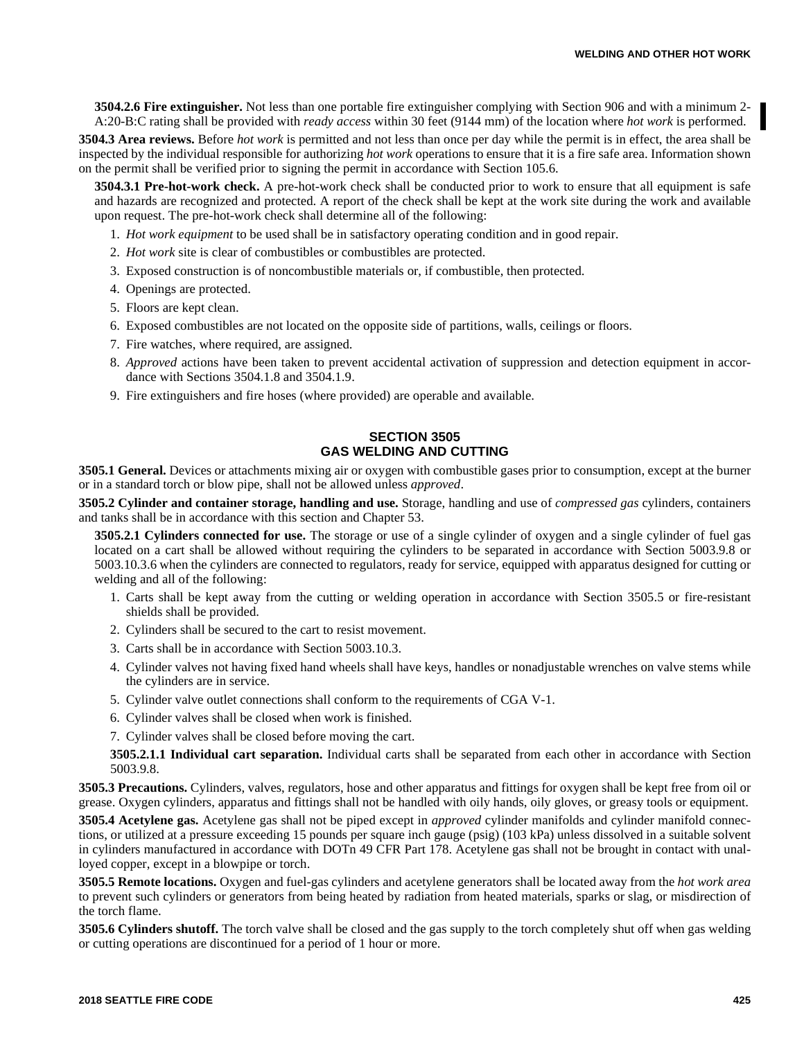**3504.2.6 Fire extinguisher.** Not less than one portable fire extinguisher complying with Section 906 and with a minimum 2- A:20-B:C rating shall be provided with *ready access* within 30 feet (9144 mm) of the location where *hot work* is performed.

**3504.3 Area reviews.** Before *hot work* is permitted and not less than once per day while the permit is in effect, the area shall be inspected by the individual responsible for authorizing *hot work* operations to ensure that it is a fire safe area. Information shown on the permit shall be verified prior to signing the permit in accordance with Section 105.6.

**3504.3.1 Pre-hot-work check.** A pre-hot-work check shall be conducted prior to work to ensure that all equipment is safe and hazards are recognized and protected. A report of the check shall be kept at the work site during the work and available upon request. The pre-hot-work check shall determine all of the following:

- 1. *Hot work equipment* to be used shall be in satisfactory operating condition and in good repair.
- 2. *Hot work* site is clear of combustibles or combustibles are protected.
- 3. Exposed construction is of noncombustible materials or, if combustible, then protected.
- 4. Openings are protected.
- 5. Floors are kept clean.
- 6. Exposed combustibles are not located on the opposite side of partitions, walls, ceilings or floors.
- 7. Fire watches, where required, are assigned.
- 8. *Approved* actions have been taken to prevent accidental activation of suppression and detection equipment in accordance with Sections 3504.1.8 and 3504.1.9.
- 9. Fire extinguishers and fire hoses (where provided) are operable and available.

# **SECTION 3505 GAS WELDING AND CUTTING**

**3505.1 General.** Devices or attachments mixing air or oxygen with combustible gases prior to consumption, except at the burner or in a standard torch or blow pipe, shall not be allowed unless *approved*.

**3505.2 Cylinder and container storage, handling and use.** Storage, handling and use of *compressed gas* cylinders, containers and tanks shall be in accordance with this section and Chapter 53.

**3505.2.1 Cylinders connected for use.** The storage or use of a single cylinder of oxygen and a single cylinder of fuel gas located on a cart shall be allowed without requiring the cylinders to be separated in accordance with Section 5003.9.8 or 5003.10.3.6 when the cylinders are connected to regulators, ready for service, equipped with apparatus designed for cutting or welding and all of the following:

- 1. Carts shall be kept away from the cutting or welding operation in accordance with Section 3505.5 or fire-resistant shields shall be provided.
- 2. Cylinders shall be secured to the cart to resist movement.
- 3. Carts shall be in accordance with Section 5003.10.3.
- 4. Cylinder valves not having fixed hand wheels shall have keys, handles or nonadjustable wrenches on valve stems while the cylinders are in service.
- 5. Cylinder valve outlet connections shall conform to the requirements of CGA V-1.
- 6. Cylinder valves shall be closed when work is finished.
- 7. Cylinder valves shall be closed before moving the cart.

**3505.2.1.1 Individual cart separation.** Individual carts shall be separated from each other in accordance with Section 5003.9.8.

**3505.3 Precautions.** Cylinders, valves, regulators, hose and other apparatus and fittings for oxygen shall be kept free from oil or grease. Oxygen cylinders, apparatus and fittings shall not be handled with oily hands, oily gloves, or greasy tools or equipment.

**3505.4 Acetylene gas.** Acetylene gas shall not be piped except in *approved* cylinder manifolds and cylinder manifold connections, or utilized at a pressure exceeding 15 pounds per square inch gauge (psig) (103 kPa) unless dissolved in a suitable solvent in cylinders manufactured in accordance with DOTn 49 CFR Part 178. Acetylene gas shall not be brought in contact with unalloyed copper, except in a blowpipe or torch.

**3505.5 Remote locations.** Oxygen and fuel-gas cylinders and acetylene generators shall be located away from the *hot work area* to prevent such cylinders or generators from being heated by radiation from heated materials, sparks or slag, or misdirection of the torch flame.

**3505.6 Cylinders shutoff.** The torch valve shall be closed and the gas supply to the torch completely shut off when gas welding or cutting operations are discontinued for a period of 1 hour or more.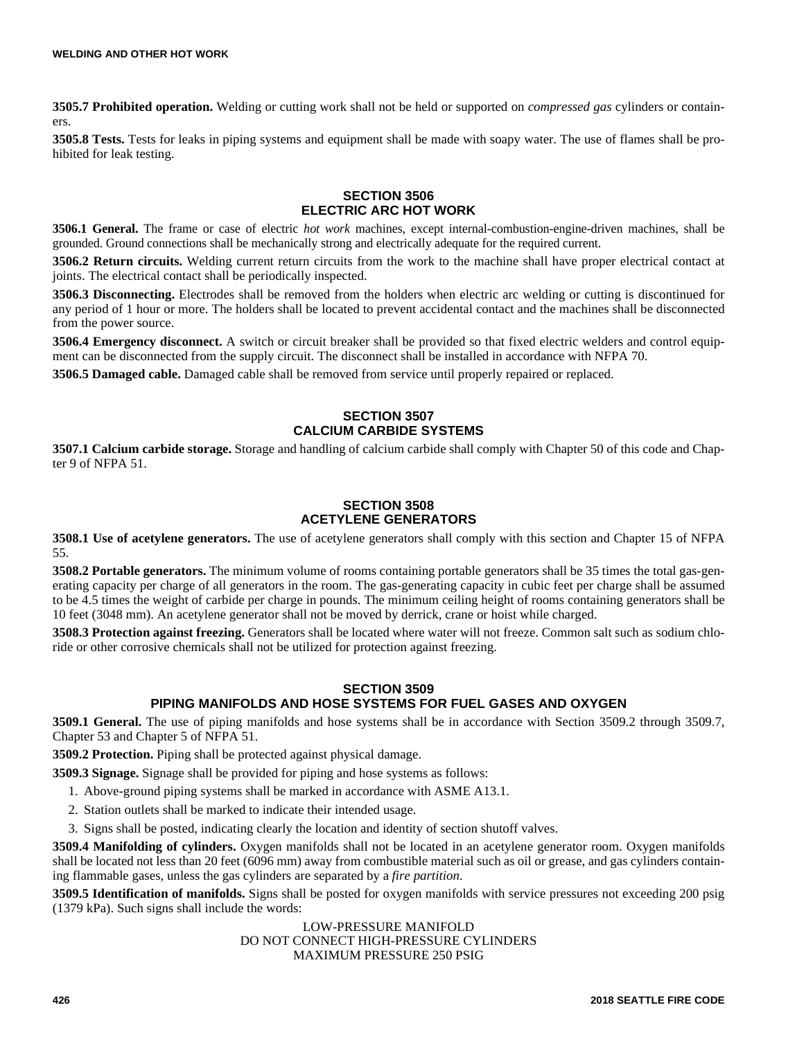**3505.7 Prohibited operation.** Welding or cutting work shall not be held or supported on *compressed gas* cylinders or containers.

**3505.8 Tests.** Tests for leaks in piping systems and equipment shall be made with soapy water. The use of flames shall be prohibited for leak testing.

### **SECTION 3506 ELECTRIC ARC HOT WORK**

**3506.1 General.** The frame or case of electric *hot work* machines, except internal-combustion-engine-driven machines, shall be grounded. Ground connections shall be mechanically strong and electrically adequate for the required current.

**3506.2 Return circuits.** Welding current return circuits from the work to the machine shall have proper electrical contact at joints. The electrical contact shall be periodically inspected.

**3506.3 Disconnecting.** Electrodes shall be removed from the holders when electric arc welding or cutting is discontinued for any period of 1 hour or more. The holders shall be located to prevent accidental contact and the machines shall be disconnected from the power source.

**3506.4 Emergency disconnect.** A switch or circuit breaker shall be provided so that fixed electric welders and control equipment can be disconnected from the supply circuit. The disconnect shall be installed in accordance with NFPA 70.

**3506.5 Damaged cable.** Damaged cable shall be removed from service until properly repaired or replaced.

### **SECTION 3507 CALCIUM CARBIDE SYSTEMS**

**3507.1 Calcium carbide storage.** Storage and handling of calcium carbide shall comply with Chapter 50 of this code and Chapter 9 of NFPA 51.

# **SECTION 3508 ACETYLENE GENERATORS**

**3508.1 Use of acetylene generators.** The use of acetylene generators shall comply with this section and Chapter 15 of NFPA 55.

**3508.2 Portable generators.** The minimum volume of rooms containing portable generators shall be 35 times the total gas-generating capacity per charge of all generators in the room. The gas-generating capacity in cubic feet per charge shall be assumed to be 4.5 times the weight of carbide per charge in pounds. The minimum ceiling height of rooms containing generators shall be 10 feet (3048 mm). An acetylene generator shall not be moved by derrick, crane or hoist while charged.

**3508.3 Protection against freezing.** Generators shall be located where water will not freeze. Common salt such as sodium chloride or other corrosive chemicals shall not be utilized for protection against freezing.

# **SECTION 3509**

# **PIPING MANIFOLDS AND HOSE SYSTEMS FOR FUEL GASES AND OXYGEN**

**3509.1 General.** The use of piping manifolds and hose systems shall be in accordance with Section 3509.2 through 3509.7, Chapter 53 and Chapter 5 of NFPA 51.

**3509.2 Protection.** Piping shall be protected against physical damage.

**3509.3 Signage.** Signage shall be provided for piping and hose systems as follows:

- 1. Above-ground piping systems shall be marked in accordance with ASME A13.1.
- 2. Station outlets shall be marked to indicate their intended usage.
- 3. Signs shall be posted, indicating clearly the location and identity of section shutoff valves.

**3509.4 Manifolding of cylinders.** Oxygen manifolds shall not be located in an acetylene generator room. Oxygen manifolds shall be located not less than 20 feet (6096 mm) away from combustible material such as oil or grease, and gas cylinders containing flammable gases, unless the gas cylinders are separated by a *fire partition*.

**3509.5 Identification of manifolds.** Signs shall be posted for oxygen manifolds with service pressures not exceeding 200 psig (1379 kPa). Such signs shall include the words:

# LOW-PRESSURE MANIFOLD DO NOT CONNECT HIGH-PRESSURE CYLINDERS MAXIMUM PRESSURE 250 PSIG